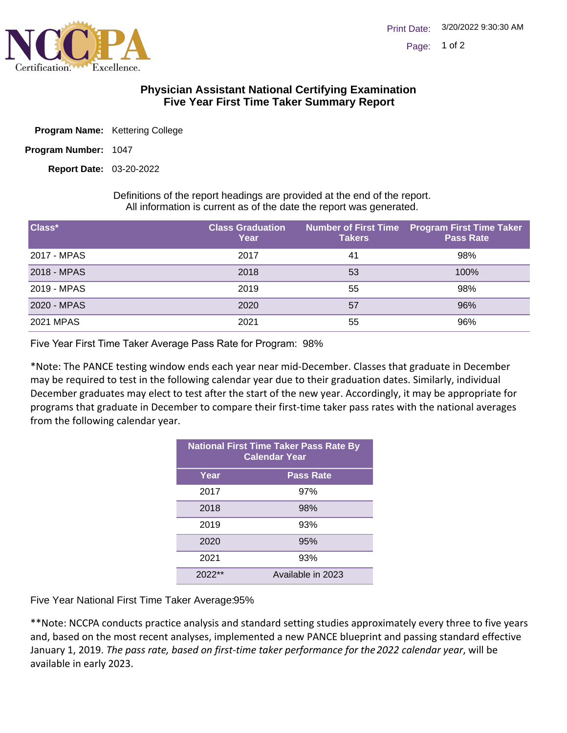

## **Physician Assistant National Certifying Examination Five Year First Time Taker Summary Report**

- Program Name: Kettering College
- Program Number: 1047

03-20-2022 **Report Date:**

Definitions of the report headings are provided at the end of the report. All information is current as of the date the report was generated.

| Class*      | <b>Class Graduation</b><br>Year | <b>Takers</b> | Number of First Time Program First Time Taker<br><b>Pass Rate</b> |
|-------------|---------------------------------|---------------|-------------------------------------------------------------------|
| 2017 - MPAS | 2017                            | 41            | 98%                                                               |
| 2018 - MPAS | 2018                            | 53            | 100%                                                              |
| 2019 - MPAS | 2019                            | 55            | 98%                                                               |
| 2020 - MPAS | 2020                            | 57            | 96%                                                               |
| 2021 MPAS   | 2021                            | 55            | 96%                                                               |

Five Year First Time Taker Average Pass Rate for Program: 98%

\*Note: The PANCE testing window ends each year near mid-December. Classes that graduate in December may be required to test in the following calendar year due to their graduation dates. Similarly, individual December graduates may elect to test after the start of the new year. Accordingly, it may be appropriate for programs that graduate in December to compare their first-time taker pass rates with the national averages from the following calendar year.

| <b>National First Time Taker Pass Rate By</b><br><b>Calendar Year</b> |                   |  |
|-----------------------------------------------------------------------|-------------------|--|
| Year                                                                  | <b>Pass Rate</b>  |  |
| 2017                                                                  | 97%               |  |
| 2018                                                                  | 98%               |  |
| 2019                                                                  | 93%               |  |
| 2020                                                                  | 95%               |  |
| 2021                                                                  | 93%               |  |
| $2022**$                                                              | Available in 2023 |  |

Five Year National First Time Taker Average: 95%

\*\*Note: NCCPA conducts practice analysis and standard setting studies approximately every three to five years and, based on the most recent analyses, implemented a new PANCE blueprint and passing standard effective January 1, 2019. *The pass rate, based on first-time taker performance for the 2022 calendar year*, will be available in early 2023.